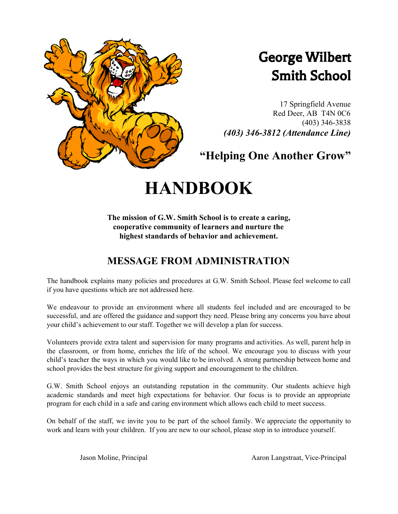

# George Wilbert Smith School

17 Springfield Avenue Red Deer, AB T4N 0C6 (403) 346-3838 *(403) 346-3812 (Attendance Line)*

**"Helping One Another Grow"**

# **HANDBOOK**

**The mission of G.W. Smith School is to create a caring, cooperative community of learners and nurture the highest standards of behavior and achievement.**

# **MESSAGE FROM ADMINISTRATION**

The handbook explains many policies and procedures at G.W. Smith School. Please feel welcome to call if you have questions which are not addressed here.

We endeavour to provide an environment where all students feel included and are encouraged to be successful, and are offered the guidance and support they need. Please bring any concerns you have about your child's achievement to our staff. Together we will develop a plan for success.

Volunteers provide extra talent and supervision for many programs and activities. As well, parent help in the classroom, or from home, enriches the life of the school. We encourage you to discuss with your child's teacher the ways in which you would like to be involved. A strong partnership between home and school provides the best structure for giving support and encouragement to the children.

G.W. Smith School enjoys an outstanding reputation in the community. Our students achieve high academic standards and meet high expectations for behavior. Our focus is to provide an appropriate program for each child in a safe and caring environment which allows each child to meet success.

On behalf of the staff, we invite you to be part of the school family. We appreciate the opportunity to work and learn with your children. If you are new to our school, please stop in to introduce yourself.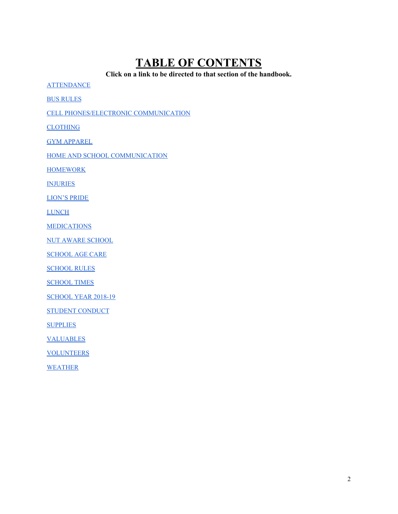# <span id="page-1-0"></span>**TABLE OF CONTENTS**

**Click on a link to be directed to that section of the handbook.**

**[ATTENDANCE](#page-2-0)** 

BUS [RULES](#page-2-1)

CELL [PHONES/ELECTRONIC](#page-2-2) COMMUNICATION

**[CLOTHING](#page-3-0)** 

GYM [APPAREL](#page-3-1)

HOME AND SCHOOL [COMMUNICATION](#page-3-2)

**[HOMEWORK](#page-4-0)** 

**[INJURIES](#page-4-1)** 

[LION'S](#page-4-2) PRIDE

**[LUNCH](#page-4-3)** 

[MEDICATIONS](#page-5-0)

NUT AWARE [SCHOOL](#page-5-1)

[SCHOOL](#page-5-2) AGE CARE

**[SCHOOL](#page-5-3) RULES** 

[SCHOOL](#page-6-0) TIMES

[SCHOOL](#page-6-1) YEAR 2018-19

STUDENT [CONDUCT](#page-7-0)

**[SUPPLIES](#page-8-0)** 

[VALUABLES](#page-8-1)

**[VOLUNTEERS](#page-8-2)** 

[WEATHER](#page-8-3)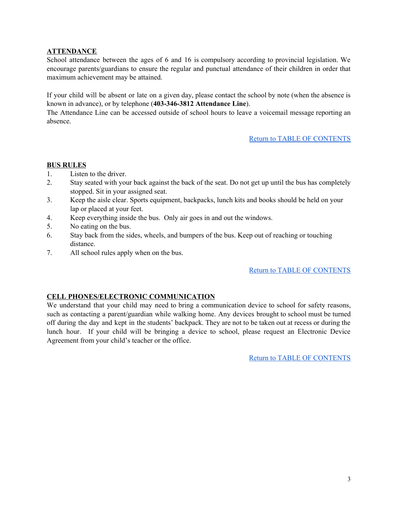# <span id="page-2-0"></span>**ATTENDANCE**

School attendance between the ages of 6 and 16 is compulsory according to provincial legislation. We encourage parents/guardians to ensure the regular and punctual attendance of their children in order that maximum achievement may be attained.

If your child will be absent or late on a given day, please contact the school by note (when the absence is known in advance), or by telephone (**403-346-3812 Attendance Line**).

The Attendance Line can be accessed outside of school hours to leave a voicemail message reporting an absence.

# Return to TABLE OF [CONTENTS](#page-1-0)

# <span id="page-2-1"></span>**BUS RULES**

- 1. Listen to the driver.
- 2. Stay seated with your back against the back of the seat. Do not get up until the bus has completely stopped. Sit in your assigned seat.
- 3. Keep the aisle clear. Sports equipment, backpacks, lunch kits and books should be held on your lap or placed at your feet.
- 4. Keep everything inside the bus. Only air goes in and out the windows.
- 5. No eating on the bus.
- 6. Stay back from the sides, wheels, and bumpers of the bus. Keep out of reaching or touching distance.
- 7. All school rules apply when on the bus.

#### Return to TABLE OF [CONTENTS](#page-1-0)

# <span id="page-2-2"></span>**CELL PHONES/ELECTRONIC COMMUNICATION**

We understand that your child may need to bring a communication device to school for safety reasons, such as contacting a parent/guardian while walking home. Any devices brought to school must be turned off during the day and kept in the students' backpack. They are not to be taken out at recess or during the lunch hour. If your child will be bringing a device to school, please request an Electronic Device Agreement from your child's teacher or the office.

Return to TABLE OF [CONTENTS](#page-1-0)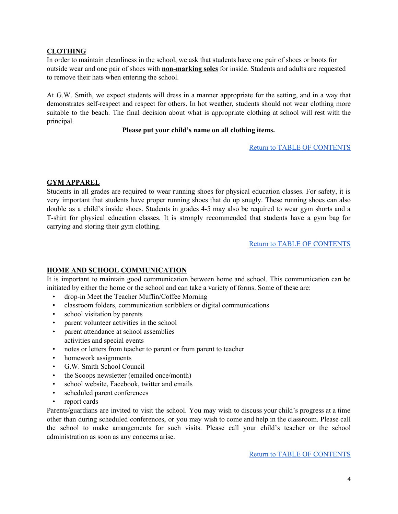# <span id="page-3-0"></span>**CLOTHING**

In order to maintain cleanliness in the school, we ask that students have one pair of shoes or boots for outside wear and one pair of shoes with **non-marking soles** for inside. Students and adults are requested to remove their hats when entering the school.

At G.W. Smith, we expect students will dress in a manner appropriate for the setting, and in a way that demonstrates self-respect and respect for others. In hot weather, students should not wear clothing more suitable to the beach. The final decision about what is appropriate clothing at school will rest with the principal.

# **Please put your child's name on all clothing items.**

Return to TABLE OF [CONTENTS](#page-1-0)

# <span id="page-3-1"></span>**GYM APPAREL**

Students in all grades are required to wear running shoes for physical education classes. For safety, it is very important that students have proper running shoes that do up snugly. These running shoes can also double as a child's inside shoes. Students in grades 4-5 may also be required to wear gym shorts and a T-shirt for physical education classes. It is strongly recommended that students have a gym bag for carrying and storing their gym clothing.

Return to TABLE OF [CONTENTS](#page-1-0)

#### <span id="page-3-2"></span>**HOME AND SCHOOL COMMUNICATION**

It is important to maintain good communication between home and school. This communication can be initiated by either the home or the school and can take a variety of forms. Some of these are:

- drop-in Meet the Teacher Muffin/Coffee Morning
- classroom folders, communication scribblers or digital communications
- school visitation by parents
- parent volunteer activities in the school
- parent attendance at school assemblies activities and special events
- notes or letters from teacher to parent or from parent to teacher
- homework assignments
- G.W. Smith School Council
- the Scoops newsletter (emailed once/month)
- school website, Facebook, twitter and emails
- scheduled parent conferences
- report cards

Parents/guardians are invited to visit the school. You may wish to discuss your child's progress at a time other than during scheduled conferences, or you may wish to come and help in the classroom. Please call the school to make arrangements for such visits. Please call your child's teacher or the school administration as soon as any concerns arise.

Return to TABLE OF [CONTENTS](#page-1-0)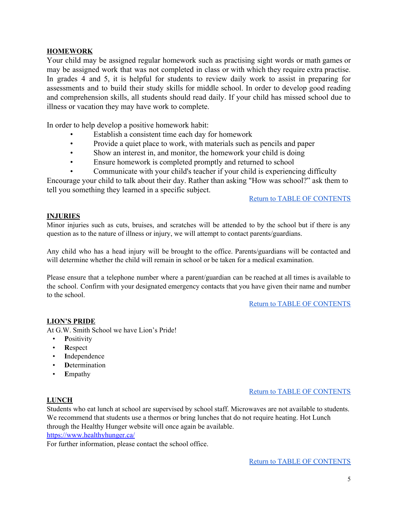# <span id="page-4-0"></span>**HOMEWORK**

Your child may be assigned regular homework such as practising sight words or math games or may be assigned work that was not completed in class or with which they require extra practise. In grades 4 and 5, it is helpful for students to review daily work to assist in preparing for assessments and to build their study skills for middle school. In order to develop good reading and comprehension skills, all students should read daily. If your child has missed school due to illness or vacation they may have work to complete.

In order to help develop a positive homework habit:

- Establish a consistent time each day for homework
- Provide a quiet place to work, with materials such as pencils and paper
- Show an interest in, and monitor, the homework your child is doing
- Ensure homework is completed promptly and returned to school
- Communicate with your child's teacher if your child is experiencing difficulty

Encourage your child to talk about their day. Rather than asking "How was school?" ask them to tell you something they learned in a specific subject.

#### Return to TABLE OF [CONTENTS](#page-1-0)

# <span id="page-4-1"></span>**INJURIES**

Minor injuries such as cuts, bruises, and scratches will be attended to by the school but if there is any question as to the nature of illness or injury, we will attempt to contact parents/guardians.

Any child who has a head injury will be brought to the office. Parents/guardians will be contacted and will determine whether the child will remain in school or be taken for a medical examination.

Please ensure that a telephone number where a parent/guardian can be reached at all times is available to the school. Confirm with your designated emergency contacts that you have given their name and number to the school.

Return to TABLE OF [CONTENTS](#page-1-0)

#### <span id="page-4-2"></span>**LION'S PRIDE**

At G.W. Smith School we have Lion's Pride!

- **P**ositivity
- **R**espect
- **I**ndependence
- **D**etermination
- **E**mpathy

#### <span id="page-4-3"></span>**LUNCH**

#### Return to TABLE OF [CONTENTS](#page-1-0)

Students who eat lunch at school are supervised by school staff. Microwaves are not available to students. We recommend that students use a thermos or bring lunches that do not require heating. Hot Lunch through the Healthy Hunger website will once again be available. <https://www.healthyhunger.ca/>

For further information, please contact the school office.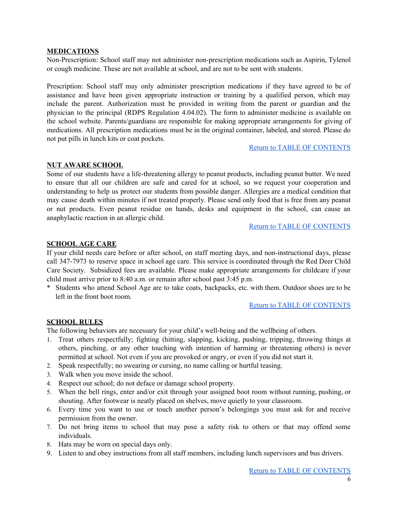#### <span id="page-5-0"></span>**MEDICATIONS**

Non-Prescription: School staff may not administer non-prescription medications such as Aspirin, Tylenol or cough medicine. These are not available at school, and are not to be sent with students.

Prescription: School staff may only administer prescription medications if they have agreed to be of assistance and have been given appropriate instruction or training by a qualified person, which may include the parent. Authorization must be provided in writing from the parent or guardian and the physician to the principal (RDPS Regulation 4.04.02). The form to administer medicine is available on the school website. Parents/guardians are responsible for making appropriate arrangements for giving of medications. All prescription medications must be in the original container, labeled, and stored. Please do not put pills in lunch kits or coat pockets.

#### Return to TABLE OF [CONTENTS](#page-1-0)

#### <span id="page-5-1"></span>**NUT AWARE SCHOOL**

Some of our students have a life-threatening allergy to peanut products, including peanut butter. We need to ensure that all our children are safe and cared for at school, so we request your cooperation and understanding to help us protect our students from possible danger. Allergies are a medical condition that may cause death within minutes if not treated properly. Please send only food that is free from any peanut or nut products. Even peanut residue on hands, desks and equipment in the school, can cause an anaphylactic reaction in an allergic child.

#### Return to TABLE OF [CONTENTS](#page-1-0)

# <span id="page-5-2"></span>**SCHOOL AGE CARE**

If your child needs care before or after school, on staff meeting days, and non-instructional days, please call 347-7973 to reserve space in school age care. This service is coordinated through the Red Deer Child Care Society. Subsidized fees are available. Please make appropriate arrangements for childcare if your child must arrive prior to 8:40 a.m. or remain after school past 3:45 p.m.

\* Students who attend School Age are to take coats, backpacks, etc. with them. Outdoor shoes are to be left in the front boot room.

#### Return to TABLE OF [CONTENTS](#page-1-0)

#### <span id="page-5-3"></span>**SCHOOL RULES**

The following behaviors are necessary for your child's well-being and the wellbeing of others.

- 1. Treat others respectfully; fighting (hitting, slapping, kicking, pushing, tripping, throwing things at others, pinching, or any other touching with intention of harming or threatening others) is never permitted at school. Not even if you are provoked or angry, or even if you did not start it.
- 2. Speak respectfully; no swearing or cursing, no name calling or hurtful teasing.
- 3. Walk when you move inside the school.
- 4. Respect our school; do not deface or damage school property.
- 5. When the bell rings, enter and/or exit through your assigned boot room without running, pushing, or shouting. After footwear is neatly placed on shelves, move quietly to your classroom.
- 6. Every time you want to use or touch another person's belongings you must ask for and receive permission from the owner.
- 7. Do not bring items to school that may pose a safety risk to others or that may offend some individuals.
- 8. Hats may be worn on special days only.
- 9. Listen to and obey instructions from all staff members, including lunch supervisors and bus drivers.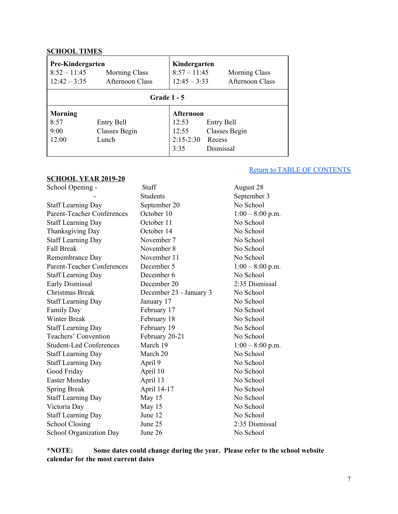# <span id="page-6-0"></span>**SCHOOL TIMES**

| Pre-Kindergarten<br>$8:52 - 11:45$<br>$12:42 - 3:35$ | <b>Morning Class</b><br><b>Afternoon Class</b> | Kindergarten<br>$8:57 - 11:45$<br>$12:45 - 3:33$          | <b>Morning Class</b><br><b>Afternoon Class</b>     |  |  |
|------------------------------------------------------|------------------------------------------------|-----------------------------------------------------------|----------------------------------------------------|--|--|
| <b>Grade 1 - 5</b>                                   |                                                |                                                           |                                                    |  |  |
| <b>Morning</b><br>8:57<br>9:00<br>12:00              | Entry Bell<br>Classes Begin<br>Lunch           | <b>Afternoon</b><br>12:53<br>12:55<br>$2:15-2:30$<br>3:35 | Entry Bell<br>Classes Begin<br>Recess<br>Dismissal |  |  |

#### <span id="page-6-1"></span>**SCHOOL YEAR 2019-20**

# Return to TABLE OF [CONTENTS](#page-1-0)

| School Opening -                  | Staff                   | August 28          |
|-----------------------------------|-------------------------|--------------------|
|                                   | <b>Students</b>         | September 3        |
| <b>Staff Learning Day</b>         | September 20            | No School          |
| <b>Parent-Teacher Conferences</b> | October 10              | $1:00 - 8:00$ p.m. |
| <b>Staff Learning Day</b>         | October 11              | No School          |
| Thanksgiving Day                  | October 14              | No School          |
| <b>Staff Learning Day</b>         | November 7              | No School          |
| <b>Fall Break</b>                 | November 8              | No School          |
| Remembrance Day                   | November 11             | No School          |
| <b>Parent-Teacher Conferences</b> | December 5              | $1:00 - 8:00$ p.m. |
| <b>Staff Learning Day</b>         | December 6              | No School          |
| Early Dismissal                   | December 20             | 2:35 Dismissal     |
| Christmas Break                   | December 23 - January 3 | No School          |
| <b>Staff Learning Day</b>         | January 17              | No School          |
| <b>Family Day</b>                 | February 17             | No School          |
| <b>Winter Break</b>               | February 18             | No School          |
| <b>Staff Learning Day</b>         | February 19             | No School          |
| Teachers' Convention              | February 20-21          | No School          |
| <b>Student-Led Conferences</b>    | March 19                | $1:00 - 8:00$ p.m. |
| <b>Staff Learning Day</b>         | March 20                | No School          |
| <b>Staff Learning Day</b>         | April 9                 | No School          |
| Good Friday                       | April 10                | No School          |
| <b>Easter Monday</b>              | April 13                | No School          |
| Spring Break                      | April 14-17             | No School          |
| <b>Staff Learning Day</b>         | May 15                  | No School          |
| Victoria Day                      | May 15                  | No School          |
| <b>Staff Learning Day</b>         | June 12                 | No School          |
| <b>School Closing</b>             | June 25                 | 2:35 Dismissal     |
| School Organization Day           | June 26                 | No School          |

**\*NOTE: Some dates could change during the year. Please refer to the school website calendar for the most current dates**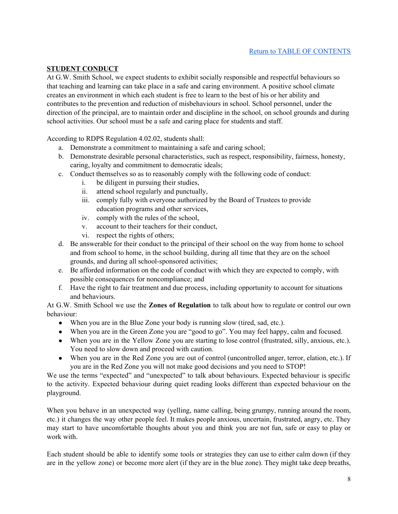# <span id="page-7-0"></span>**STUDENT CONDUCT**

At G.W. Smith School, we expect students to exhibit socially responsible and respectful behaviours so that teaching and learning can take place in a safe and caring environment. A positive school climate creates an environment in which each student is free to learn to the best of his or her ability and contributes to the prevention and reduction of misbehaviours in school. School personnel, under the direction of the principal, are to maintain order and discipline in the school, on school grounds and during school activities. Our school must be a safe and caring place for students and staff.

According to RDPS Regulation 4.02.02, students shall:

- a. Demonstrate a commitment to maintaining a safe and caring school;
- b. Demonstrate desirable personal characteristics, such as respect, responsibility, fairness, honesty, caring, loyalty and commitment to democratic ideals;
- c. Conduct themselves so as to reasonably comply with the following code of conduct:
	- i. be diligent in pursuing their studies,
	- ii. attend school regularly and punctually,
	- iii. comply fully with everyone authorized by the Board of Trustees to provide education programs and other services,
	- iv. comply with the rules of the school,
	- v. account to their teachers for their conduct,
	- vi. respect the rights of others;
- d. Be answerable for their conduct to the principal of their school on the way from home to school and from school to home, in the school building, during all time that they are on the school grounds, and during all school-sponsored activities;
- e. Be afforded information on the code of conduct with which they are expected to comply, with possible consequences for noncompliance; and
- f. Have the right to fair treatment and due process, including opportunity to account for situations and behaviours.

At G.W. Smith School we use the **Zones of Regulation** to talk about how to regulate or control our own behaviour:

- When you are in the Blue Zone your body is running slow (tired, sad, etc.).
- When you are in the Green Zone you are "good to go". You may feel happy, calm and focused.
- When you are in the Yellow Zone you are starting to lose control (frustrated, silly, anxious, etc.). You need to slow down and proceed with caution.
- When you are in the Red Zone you are out of control (uncontrolled anger, terror, elation, etc.). If you are in the Red Zone you will not make good decisions and you need to STOP!

We use the terms "expected" and "unexpected" to talk about behaviours. Expected behaviour is specific to the activity. Expected behaviour during quiet reading looks different than expected behaviour on the playground.

When you behave in an unexpected way (yelling, name calling, being grumpy, running around the room, etc.) it changes the way other people feel. It makes people anxious, uncertain, frustrated, angry, etc. They may start to have uncomfortable thoughts about you and think you are not fun, safe or easy to play or work with.

Each student should be able to identify some tools or strategies they can use to either calm down (if they are in the yellow zone) or become more alert (if they are in the blue zone). They might take deep breaths,